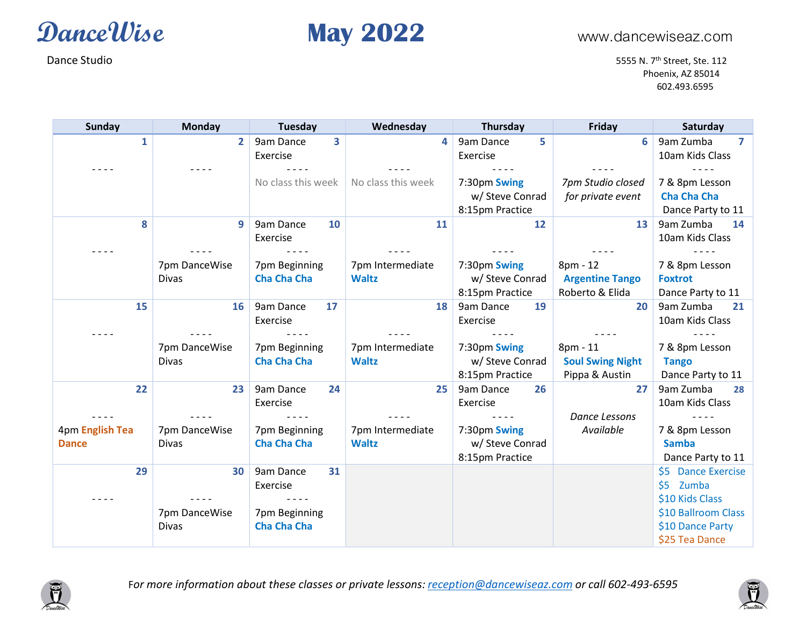

Dance Studio 5555 N. 7<sup>th</sup> Street, Ste. 112 Phoenix, AZ 85014 602.493.6595

| <b>Sunday</b>   | <b>Monday</b> | Tuesday            | Wednesday          | Thursday        | Friday                  | Saturday            |
|-----------------|---------------|--------------------|--------------------|-----------------|-------------------------|---------------------|
| 1               | $\mathbf{2}$  | 9am Dance<br>3     | 4                  | 9am Dance<br>5  | 6                       | 9am Zumba<br>7      |
|                 |               | Exercise           |                    | Exercise        |                         | 10am Kids Class     |
|                 |               |                    |                    |                 |                         |                     |
|                 |               | No class this week | No class this week | 7:30pm Swing    | 7pm Studio closed       | 7 & 8pm Lesson      |
|                 |               |                    |                    | w/ Steve Conrad | for private event       | <b>Cha Cha Cha</b>  |
|                 |               |                    |                    | 8:15pm Practice |                         | Dance Party to 11   |
| 8               | 9             | 9am Dance<br>10    | 11                 | 12              | 13                      | 9am Zumba<br>14     |
|                 |               | Exercise           |                    |                 |                         | 10am Kids Class     |
|                 |               |                    |                    |                 |                         |                     |
|                 | 7pm DanceWise | 7pm Beginning      | 7pm Intermediate   | 7:30pm Swing    | 8pm - 12                | 7 & 8pm Lesson      |
|                 | Divas         | <b>Cha Cha Cha</b> | <b>Waltz</b>       | w/ Steve Conrad | <b>Argentine Tango</b>  | <b>Foxtrot</b>      |
|                 |               |                    |                    | 8:15pm Practice | Roberto & Elida         | Dance Party to 11   |
| 15              | 16            | 9am Dance<br>17    | 18                 | 9am Dance<br>19 | 20                      | 9am Zumba<br>21     |
|                 |               | Exercise           |                    | Exercise        |                         | 10am Kids Class     |
|                 |               |                    |                    |                 |                         |                     |
|                 | 7pm DanceWise | 7pm Beginning      | 7pm Intermediate   | 7:30pm Swing    | 8pm - 11                | 7 & 8pm Lesson      |
|                 | <b>Divas</b>  | <b>Cha Cha Cha</b> | <b>Waltz</b>       | w/ Steve Conrad | <b>Soul Swing Night</b> | <b>Tango</b>        |
|                 |               |                    |                    | 8:15pm Practice | Pippa & Austin          | Dance Party to 11   |
| 22              | 23            | 9am Dance<br>24    | 25                 | 9am Dance<br>26 | 27                      | 9am Zumba<br>28     |
|                 |               | Exercise           |                    | Exercise        |                         | 10am Kids Class     |
|                 |               |                    |                    |                 | <b>Dance Lessons</b>    |                     |
| 4pm English Tea | 7pm DanceWise | 7pm Beginning      | 7pm Intermediate   | 7:30pm Swing    | Available               | 7 & 8pm Lesson      |
| <b>Dance</b>    | <b>Divas</b>  | <b>Cha Cha Cha</b> | <b>Waltz</b>       | w/ Steve Conrad |                         | <b>Samba</b>        |
|                 |               |                    |                    | 8:15pm Practice |                         | Dance Party to 11   |
| 29              | 30            | 9am Dance<br>31    |                    |                 |                         | \$5 Dance Exercise  |
|                 |               | Exercise           |                    |                 |                         | \$5 Zumba           |
|                 |               |                    |                    |                 |                         | \$10 Kids Class     |
|                 | 7pm DanceWise | 7pm Beginning      |                    |                 |                         | \$10 Ballroom Class |
|                 | Divas         | <b>Cha Cha Cha</b> |                    |                 |                         | \$10 Dance Party    |
|                 |               |                    |                    |                 |                         | \$25 Tea Dance      |